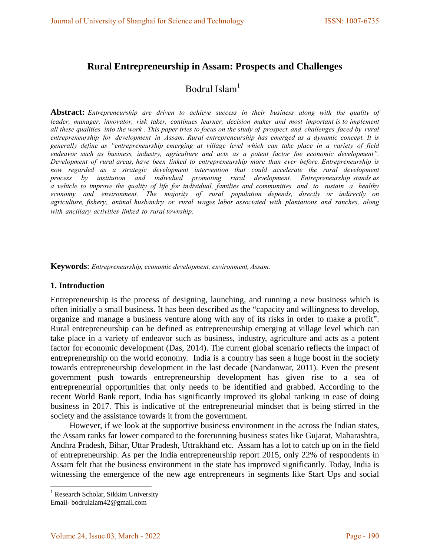# **Rural Entrepreneurship in Assam: Prospects and Challenges**

# Bodrul Islam $<sup>1</sup>$ </sup>

**Abstract:** *Entrepreneurship are driven to achieve success in their business along with the quality of leader, manager, innovator, risk taker, continues learner, decision maker and most important is to implement all these qualities into the work . This paper tries to focus on the study of prospect and challenges faced by rural entrepreneurship for development in Assam. Rural entrepreneurship has emerged as a dynamic concept. It is generally define as "entrepreneurship emerging at village level which can take place in a variety of field endeavor such as business, industry, agriculture and acts as a potent factor foe economic development". Development of rural areas, have been linked to entrepreneurship more than ever before. Entrepreneurship is*  now regarded as a strategic development intervention that could accelerate the rural development *process by institution and individual promoting rural development. Entrepreneurship stands as a vehicle to improve the quality of life for individual, families and communities and to sustain a healthy economy and environment. The majority of rural population depends, directly or indirectly on agriculture, fishery, animal husbandry or rural wages labor associated with plantations and ranches, along with ancillary activities linked to rural township.* 

**Keywords**: *Entrepreneurship, economic development, environment, Assam.*

#### **1. Introduction**

Entrepreneurship is the process of designing, launching, and running a new business which is often initially a small business. It has been described as the "capacity and willingness to develop, organize and manage a business venture along with any of its risks in order to make a profit". Rural entrepreneurship can be defined as entrepreneurship emerging at village level which can take place in a variety of endeavor such as business, industry, agriculture and acts as a potent factor for economic development (Das, 2014). The current global scenario reflects the impact of entrepreneurship on the world economy. India is a country has seen a huge boost in the society towards entrepreneurship development in the last decade (Nandanwar, 2011). Even the present government push towards entrepreneurship development has given rise to a sea of entrepreneurial opportunities that only needs to be identified and grabbed. According to the recent World Bank report, India has significantly improved its global ranking in ease of doing business in 2017. This is indicative of the entrepreneurial mindset that is being stirred in the society and the assistance towards it from the government.

 However, if we look at the supportive business environment in the across the Indian states, the Assam ranks far lower compared to the forerunning business states like Gujarat, Maharashtra, Andhra Pradesh, Bihar, Uttar Pradesh, Uttrakhand etc. Assam has a lot to catch up on in the field of entrepreneurship. As per the India entrepreneurship report 2015, only 22% of respondents in Assam felt that the business environment in the state has improved significantly. Today, India is witnessing the emergence of the new age entrepreneurs in segments like Start Ups and social

<sup>&</sup>lt;sup>1</sup> Research Scholar, Sikkim University

Email- bodrulalam42@gmail.com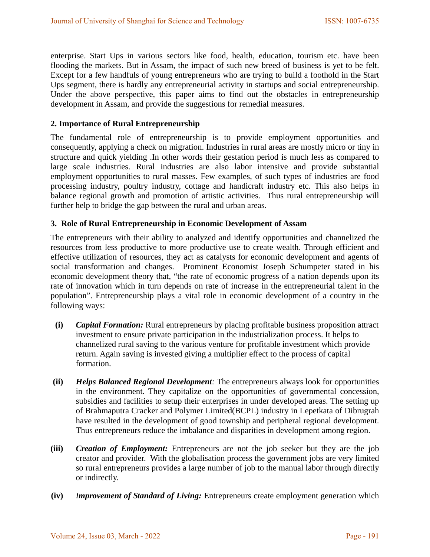enterprise. Start Ups in various sectors like food, health, education, tourism etc. have been flooding the markets. But in Assam, the impact of such new breed of business is yet to be felt. Except for a few handfuls of young entrepreneurs who are trying to build a foothold in the Start Ups segment, there is hardly any entrepreneurial activity in startups and social entrepreneurship. Under the above perspective, this paper aims to find out the obstacles in entrepreneurship development in Assam, and provide the suggestions for remedial measures.

## **2. Importance of Rural Entrepreneurship**

The fundamental role of entrepreneurship is to provide employment opportunities and consequently, applying a check on migration. Industries in rural areas are mostly micro or tiny in structure and quick yielding .In other words their gestation period is much less as compared to large scale industries. Rural industries are also labor intensive and provide substantial employment opportunities to rural masses. Few examples, of such types of industries are food processing industry, poultry industry, cottage and handicraft industry etc. This also helps in balance regional growth and promotion of artistic activities. Thus rural entrepreneurship will further help to bridge the gap between the rural and urban areas.

## **3. Role of Rural Entrepreneurship in Economic Development of Assam**

The entrepreneurs with their ability to analyzed and identify opportunities and channelized the resources from less productive to more productive use to create wealth. Through efficient and effective utilization of resources, they act as catalysts for economic development and agents of social transformation and changes. Prominent Economist Joseph Schumpeter stated in his economic development theory that, "the rate of economic progress of a nation depends upon its rate of innovation which in turn depends on rate of increase in the entrepreneurial talent in the population". Entrepreneurship plays a vital role in economic development of a country in the following ways:

- **(i)** *Capital Formation:* Rural entrepreneurs by placing profitable business proposition attract investment to ensure private participation in the industrialization process. It helps to channelized rural saving to the various venture for profitable investment which provide return. Again saving is invested giving a multiplier effect to the process of capital formation.
- **(ii)** *Helps Balanced Regional Development:* The entrepreneurs always look for opportunities in the environment. They capitalize on the opportunities of governmental concession, subsidies and facilities to setup their enterprises in under developed areas. The setting up of Brahmaputra Cracker and Polymer Limited(BCPL) industry in Lepetkata of Dibrugrah have resulted in the development of good township and peripheral regional development. Thus entrepreneurs reduce the imbalance and disparities in development among region.
- **(iii)** *Creation of Employment:* Entrepreneurs are not the job seeker but they are the job creator and provider. With the globalisation process the government jobs are very limited so rural entrepreneurs provides a large number of job to the manual labor through directly or indirectly.
- **(iv)** *Improvement of Standard of Living:* Entrepreneurs create employment generation which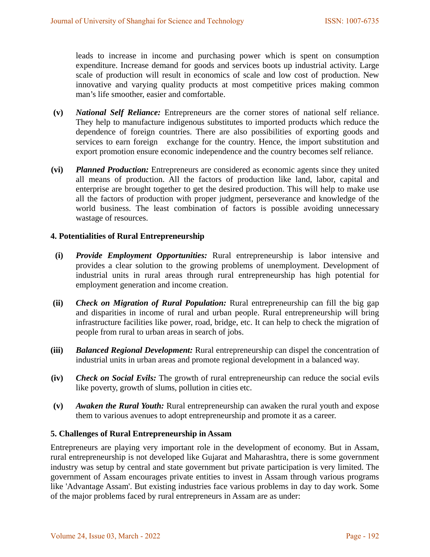leads to increase in income and purchasing power which is spent on consumption expenditure. Increase demand for goods and services boots up industrial activity. Large scale of production will result in economics of scale and low cost of production. New innovative and varying quality products at most competitive prices making common man's life smoother, easier and comfortable.

- **(v)** *National Self Reliance:* Entrepreneurs are the corner stores of national self reliance. They help to manufacture indigenous substitutes to imported products which reduce the dependence of foreign countries. There are also possibilities of exporting goods and services to earn foreign exchange for the country. Hence, the import substitution and export promotion ensure economic independence and the country becomes self reliance.
- **(vi)** *Planned Production:* Entrepreneurs are considered as economic agents since they united all means of production. All the factors of production like land, labor, capital and enterprise are brought together to get the desired production. This will help to make use all the factors of production with proper judgment, perseverance and knowledge of the world business. The least combination of factors is possible avoiding unnecessary wastage of resources.

#### **4. Potentialities of Rural Entrepreneurship**

- **(i)** *Provide Employment Opportunities:* Rural entrepreneurship is labor intensive and provides a clear solution to the growing problems of unemployment. Development of industrial units in rural areas through rural entrepreneurship has high potential for employment generation and income creation.
- **(ii)** *Check on Migration of Rural Population:* Rural entrepreneurship can fill the big gap and disparities in income of rural and urban people. Rural entrepreneurship will bring infrastructure facilities like power, road, bridge, etc. It can help to check the migration of people from rural to urban areas in search of jobs.
- **(iii)** *Balanced Regional Development:* Rural entrepreneurship can dispel the concentration of industrial units in urban areas and promote regional development in a balanced way.
- **(iv)** *Check on Social Evils:* The growth of rural entrepreneurship can reduce the social evils like poverty, growth of slums, pollution in cities etc.
- **(v)** *Awaken the Rural Youth:* Rural entrepreneurship can awaken the rural youth and expose them to various avenues to adopt entrepreneurship and promote it as a career.

#### **5. Challenges of Rural Entrepreneurship in Assam**

Entrepreneurs are playing very important role in the development of economy. But in Assam, rural entrepreneurship is not developed like Gujarat and Maharashtra, there is some government industry was setup by central and state government but private participation is very limited. The government of Assam encourages private entities to invest in Assam through various programs like 'Advantage Assam'. But existing industries face various problems in day to day work. Some of the major problems faced by rural entrepreneurs in Assam are as under: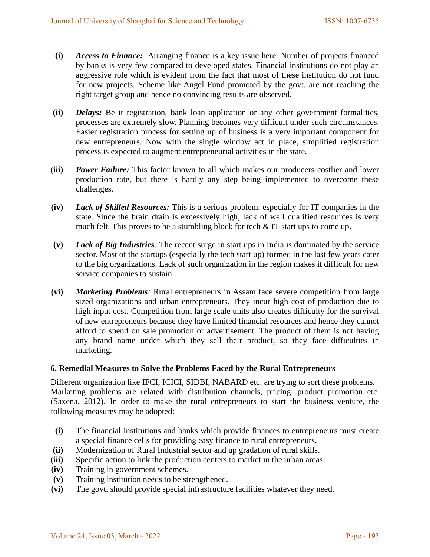- **(i)** *Access to Finance:* Arranging finance is a key issue here. Number of projects financed by banks is very few compared to developed states. Financial institutions do not play an aggressive role which is evident from the fact that most of these institution do not fund for new projects. Scheme like Angel Fund promoted by the govt. are not reaching the right target group and hence no convincing results are observed.
- **(ii)** *Delays:* Be it registration, bank loan application or any other government formalities, processes are extremely slow. Planning becomes very difficult under such circumstances. Easier registration process for setting up of business is a very important component for new entrepreneurs. Now with the single window act in place, simplified registration process is expected to augment entrepreneurial activities in the state.
- **(iii)** *Power Failure:* This factor known to all which makes our producers costlier and lower production rate, but there is hardly any step being implemented to overcome these challenges.
- **(iv)** *Lack of Skilled Resources:* This is a serious problem, especially for IT companies in the state. Since the brain drain is excessively high, lack of well qualified resources is very much felt. This proves to be a stumbling block for tech & IT start ups to come up.
- **(v)** *Lack of Big Industries:* The recent surge in start ups in India is dominated by the service sector. Most of the startups (especially the tech start up) formed in the last few years cater to the big organizations. Lack of such organization in the region makes it difficult for new service companies to sustain.
- **(vi)** *Marketing Problems:* Rural entrepreneurs in Assam face severe competition from large sized organizations and urban entrepreneurs. They incur high cost of production due to high input cost. Competition from large scale units also creates difficulty for the survival of new entrepreneurs because they have limited financial resources and hence they cannot afford to spend on sale promotion or advertisement. The product of them is not having any brand name under which they sell their product, so they face difficulties in marketing.

## **6. Remedial Measures to Solve the Problems Faced by the Rural Entrepreneurs**

Different organization like IFCI, ICICI, SIDBI, NABARD etc. are trying to sort these problems. Marketing problems are related with distribution channels, pricing, product promotion etc. (Saxena, 2012). In order to make the rural entrepreneurs to start the business venture, the following measures may be adopted:

- **(i)** The financial institutions and banks which provide finances to entrepreneurs must create a special finance cells for providing easy finance to rural entrepreneurs.
- **(ii)** Modernization of Rural Industrial sector and up gradation of rural skills.
- **(iii)** Specific action to link the production centers to market in the urban areas.
- **(iv)** Training in government schemes.
- **(v)** Training institution needs to be strengthened.
- **(vi)** The govt. should provide special infrastructure facilities whatever they need.